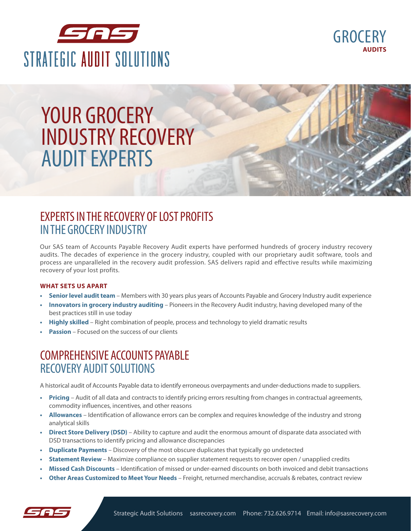



# YOUR GROCERY **INDUSTRY RECOVERY AUDIT EXPERTS**

### EXPERTS IN THE RECOVERY OF LOST PROFITS EXPERTS IN THE RECOVERY OF LOST PROFITS IN THE GROCERY INDUSTRY

**Decades of Hospital and Healthcare Recovery Audit Solutions.**  audits. The decades of experience in the grocery industry, coupled with our proprietary audit software, tools and process are unparalleled in the recovery audit profession. SAS delivers rapid and effective results while maximizing<br>seconomial waveled massive Provery areas such as Provences. Our SAS team of Accounts Payable Recovery Audit experts have performed hundreds of grocery industry recovery recovery of your lost profits.

#### **PAYMENT SETS US APART CONTROLLER AND MISSED DISCOUNTS. OUR PROCESS IS DISCOUNTS.** OUR PROCESS IS DIFFERENT.

- **•** Senior level audit team Members with 30 years plus years of Accounts Payable and Grocery Industry audit experience
- **Innovators in grocery industry auditing** Pioneers in the Recovery Audit industry, having developed many of the best practices still in use today
- **• Highly skilled** Right combination of people, process and technology to yield dramatic results
- **Passion** Focused on the success of our clients r abbient recased of

### COMPREHENSIVE ACCOUNTS PAYABLE **RECOVERY AUDIT SOLUTIONS**

A historical audit of Accounts Payable data to identify erroneous overpayments and under-deductions made to suppliers.

- ADDITIONAL RECOVERY AUDIT CATEGORIES INCLUDE: **• Pricing** Audit of all data and contracts to identify pricing errors resulting from changes in contractual agreements, commodity influences, incentives, and other reasons
- analytical skills **• Allowances** – Identification of allowance errors can be complex and requires knowledge of the industry and strong
- Direct Store Delivery (DSD) Ability to capture and audit the enormous amount of disparate data associated with DSD transactions to identify pricing and allowance discrepancies to capture and au<br>hd allowance discr<br>he most obscure d<br>liance on supplier
- Duplicate Payments Discovery of the most obscure duplicates that typically go undetected
- **Statement Review** Maximize compliance on supplier statement requests to recover open / unapplied credits
- Missed Cash Discounts Identification of missed or under-earned discounts on both invoiced and debit transactions
- **• Other Areas Customized to Meet Your Needs** Freight, returned merchandise, accruals & rebates, contract review